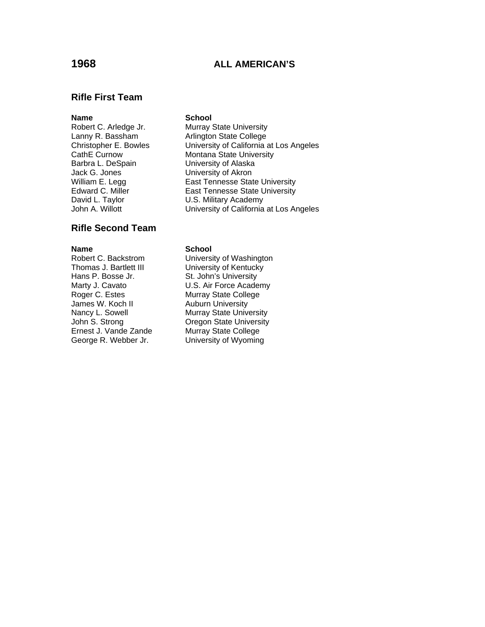# **1968 ALL AMERICAN'S**

## **Rifle First Team**

Barbra L. DeSpain University of Alaska Jack G. Jones University of Akron

## **Rifle Second Team**

**Name School**<br> **Robert C. Backstrom University** Thomas J. Bartlett III University of Kentucky Hans P. Bosse Jr. St. John's University Roger C. Estes Murray State College James W. Koch II Auburn University<br>
Nancy L. Sowell Murray State Unive Ernest J. Vande Zande George R. Webber Jr. University of Wyoming

### **Name** School

Robert C. Arledge Jr. Murray State University Lanny R. Bassham **Arlington State College**<br>
Christopher E. Bowles **Christopher E. Bowles** University of California at Los Angeles CathE Curnow Montana State University William E. Legg East Tennesse State University Edward C. Miller East Tennesse State University U.S. Military Academy John A. Willott **University of California at Los Angeles** 

University of Washington Marty J. Cavato **U.S. Air Force Academy** Nancy L. Sowell **Murray State University**<br>
John S. Strong **Murray State University Oregon State University<br>Murray State College**